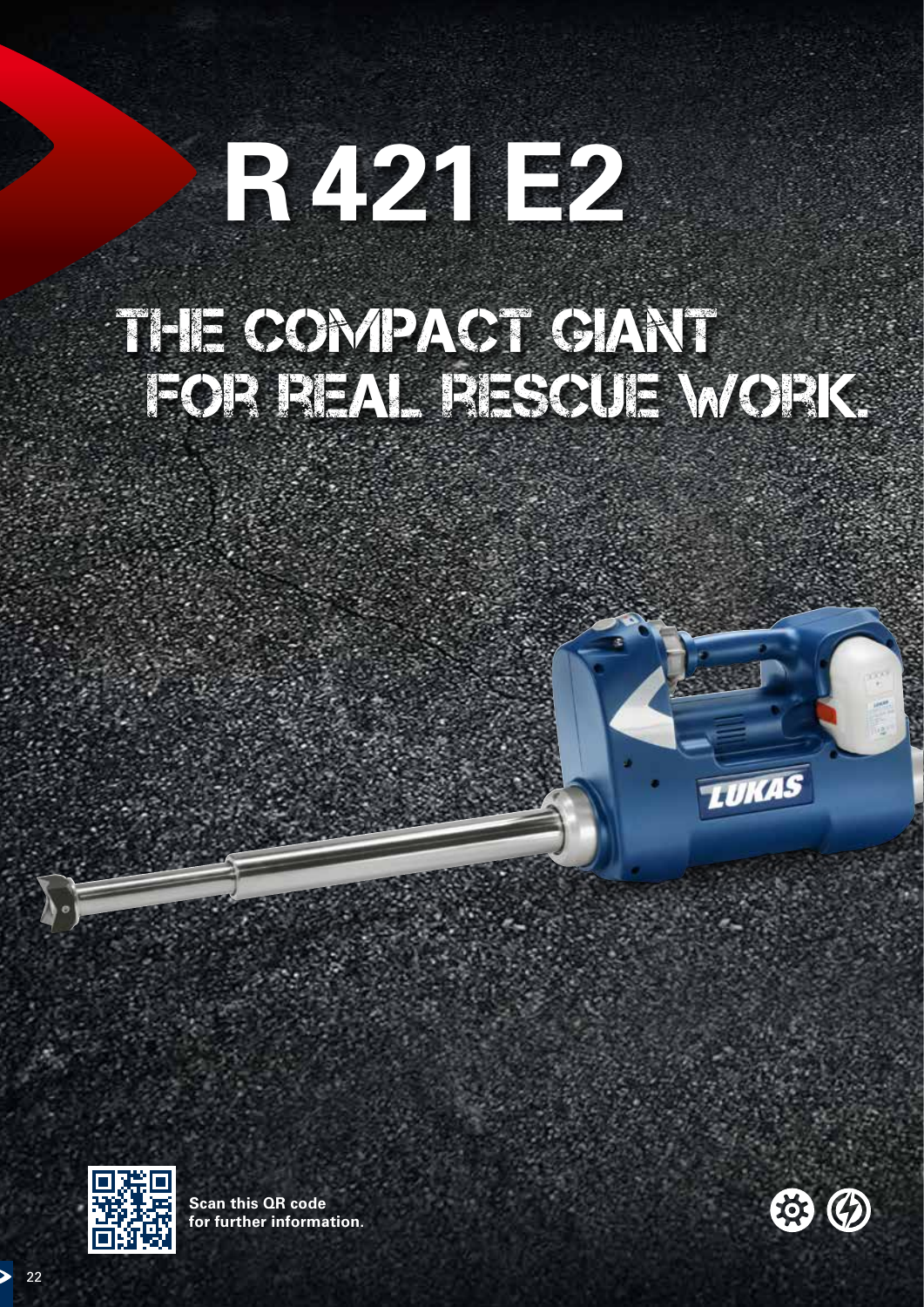# **R421E2**

# THE COMPACT GIANT for real rescue work.





**Scan this QR code for further information.**